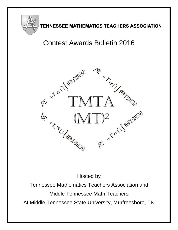

## TENNESSEE MATHEMATICS TEACHERS ASSOCIATION

# Contest Awards Bulletin 2016



Hosted by

Tennessee Mathematics Teachers Association and Middle Tennessee Math Teachers At Middle Tennessee State University, Murfreesboro, TN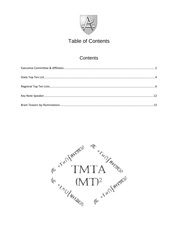

## **Table of Contents**

## **Contents**

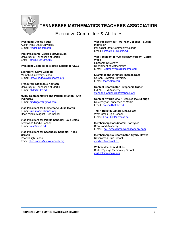

## **TENNESSEE MATHEMATICS TEACHERS ASSOCIATION**

### Executive Committee & Affiliates

<span id="page-3-0"></span>**President: Jackie Vogel** Austin Peay State University E-mail: [vogelj@apsu.edu](mailto:vogelj@apsu.edu)

**Past President: Desireé McCullough** University of Tennessee at Martin Email: [dmccull1@utm.edu](mailto:dmccull1@utm.edu)

#### **President-Elect: To be elected September 2016**

**Secretary: Steve Gadbois** Memphis University School E-mail: [steve.gadbois@musowls.org](mailto:steve.gadbois@musowls.org)

**Treasurer: Stephanie Kolitsch** University of Tennessee at Martin E-mail[: styler@utm.edu](mailto:styler@utm.edu)

**NCTM Representative and Parliamentarian: Ann Indingaro** E-mail[: aindingaro@gmail.com](mailto:aindingaro@gmail.com)

**Vice-President for Elementary: Julie Martin** E-mail[: julie.martin@mnps.org](mailto:julie.martin@mnps.org) Head Middle Magnet Prep School

**Vice-President for Middle Schools: Lois Coles** Brentwood Middle School E-mail[: loisc@wcs.edu](mailto:loisc@wcs.edu)

**Vice-President for Secondary Schools: Alice Carson** Powell High School Email[: alice.carson@knoxschools.org](mailto:alice.carson@knoxschools.org)

**Vice President for Two-Year Colleges: Susan Mosteller** Pellissippi State Community College Email[: scmosteller@pstcc.edu](mailto:scmosteller@pstcc.edu)

**Vice-President for Colleges/University: Carroll Wells** Lipscomb University Department of Mathematics E-mail: [Carroll.Wells@lipscomb.edu](mailto:Carroll.Wells@lipscomb.edu)

**Examinations Director: Thomas Bass** Carson-Newman University E-mail: [tbass@cn.edu](file:///C:/Users/desireem/AppData/Local/Microsoft/Windows/Temporary%20Internet%20Files/Content.Outlook/BRK10KJB/tbass@cn.edu)

**Contest Coordinator: Stephanie Ogden** L & N STEM Academy [stephanie.ogden@knoxschools.org](mailto:stephanie.ogden@knoxschools.org)

**Contest Awards Chair: Desireé McCullough** University of Tennessee at Martin Email: [dmccull1@utm.edu](mailto:dmccull1@utm.edu)

**TMTA Bulletin Editor: Lisa Elliott** West Creek High School E-mail: Lisa.Elliott@cmcss.net

**Membership Coordinator: Pat Tyree** Brentwood Academy E-mail: [pat\\_tyree@brentwoodacademy.com](mailto:pat_tyree@brentwoodacademy.com)

**Membership Co-Coordinator: Cyndy Howes** Ravenwood High School [cyndyh@comcast.net](mailto:cyndyh@comcast.net)

**Webmaster: Kim Mullins** Bethel Springs Elementary School mullinsk@mcnairy.org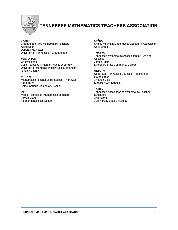

## **TENNESSEE MATHEMATICS TEACHERS ASSOCIATION**

#### **CAMTA**

Chattanooga Area Mathematics Teachers' Association Deborah McAllister University of Tennessee – Chattanooga

#### **MAC-O-TOM**

Co-Presidents Celia Rousseau Anderson; Nancy D'Surney University of Memphis; Willow Oaks Elementary (Shelby County)

#### **MT<sup>2</sup> -NW**

Mathematics Teacher of Tennessee – Northwest Kim Mullins Bethel Springs Elementary School

#### **(MT)<sup>2</sup>**

Middle Tennessee Mathematics Teachers Teresa Clark Independence High School

#### **SM<sup>2</sup>EA**

Smoky Mountain Mathematics Educators' Association Chris Bradley

#### **TMATYC**

Tennessee Mathematics Association for Two Year Colleges James Adair Dyersburg State Community College

#### **UETCTM**

Upper East Tennessee Council of Teachers of **Mathematics** Amanda Cole Kingsport City Schools

#### **TAMTE**

Tennessee Association of Mathematics Teacher **Educators** Ann Assad Austin Peay State University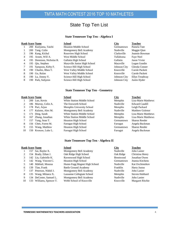### State Top Ten List

#### **State Tennessee Top Ten - Algebra I**

<span id="page-5-0"></span>

|   |            | <b>Rank Score Name</b>    | School                       | <b>City</b>  | <b>Teacher</b> |
|---|------------|---------------------------|------------------------------|--------------|----------------|
|   |            | 200 Kuriyama, Taichi      | Houston Middle School        | Germantown   | Pamela Tate    |
|   | <b>200</b> | Tang, Colin               | Montgomery Bell Academy      | Nashville    | Maggie Qian    |
| 3 |            | 196 Kang, Kichul          | Rossview High School         | Clarksville  | Jeannie Bowman |
| 4 |            | 195 Arnett, Will A.       | West Middle School           | Tullahoma    | Faye Neel      |
| 4 |            | 195 Dennison, Nicholas R. | Gallatin High School         | Gallatin     | Jason Vivier   |
| 4 |            | 195 Qiu, Stephen          | Maryville Junior High School | Maryville    | Logan Goodin   |
|   |            | 191 Sampson, Kirby F.     | Science Hill High School     | Johnson City | Glenda Conner  |
| 8 |            | 190 Charles, Rhea T.      | West Valley Middle School    | Knoxville    | Carole Packett |
| 8 |            | 190 Gu. Rulan             | West Valley Middle School    | Knoxville    | Carole Packett |
| 8 |            | 190 Lu, Jimmy Y.          | Science Hill High School     | Johnson City | Ellyn Treadway |
| 8 | 190        | Park, Suhyeon             | Science Hill High School     | Johnson City | Justin Hyder   |

#### **State Tennesee Top Ten - Geometry**

| <b>Rank Score Name</b> | School | City | Teacher' |
|------------------------|--------|------|----------|
|                        |        |      |          |

- 200 Luo, Kevin White Station Middle School Memphis Lisa-Marie Matthews 2 186 Murray, Colin A. The Ensworth School Nashville Edward Caudill 178 Puri, Arjun Memphis University School Memphis Leigh Packard 177 Kalams, Alex M. Montgomery Bell Academy Nashville Matthew Golenor
- 5 171 Ding, Sarah White Station Middle School Memphis Lisa-Marie Matthews
- 167 Zhang, Jonathan White Station Middle School Memphis Lisa-Marie Matthews
- 157 Yang, Sean T. Houston High School Germantown Sharon Reeder
- 156 Chen, Forest M. Farragut High School Farragut Angela Buckman
- 155 Wang, Matthew Houston High School Germantown Sharon Reeder
- 150 Kronzer, Luke L. Farragut High School Farragut Angela Buckman
	- **State Tennessee Top Ten Algebra II**

|    |      | <b>Rank Score Name</b>  | School                       | <b>City</b> | <b>Teacher</b>   |
|----|------|-------------------------|------------------------------|-------------|------------------|
|    |      | 157 Sai, Baylor X.      | Montgomery Bell Academy      | Nashville   | John Lanier      |
| 2  |      | 154 Brady, Ethan J.     | Oak Ridge High School        | Oak Ridge   | Christina Henry  |
| 3. |      | 142 Liu, Gabrielle K.   | Ravenwood High School        | Brentwood   | Jonathan Owen    |
| 3  |      | 142 Wang, Vincent C.    | Houston High School          | Germantown  | Jeanna Kitchens  |
|    |      | 140 Mikhail, Moussa     | Hume-Fogg Magnet High School | Nashville   | Kat Ovchinnikov  |
| 6  | 139. | Tian, Frank             | <b>Battle Ground Academy</b> | Franklin    | Harry Justus     |
|    |      | 137 Peterson, Nikhil J. | Montgomery Bell Academy      | Nashville   | John Lanier      |
| 8  |      | 135 Wang, Milanca X.    | Lausanne Collegiate School   | Memphis     | Steven Hubbard   |
| 9  |      | 134 DeCoster, Samuel L. | Montgomery Bell Academy      | Nashville   | John Lanier      |
| 10 | 133. | Williams, Spencer T.    | Webb School of Knoxville     | Knoxville   | Margaret Ritchie |
|    |      |                         |                              |             |                  |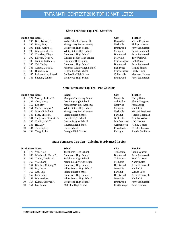#### **State Tennesee Top Ten - Statistics**

|   |     | <b>Rank Score Name</b> | <b>School</b>                | <b>City</b>      | <b>Teacher</b>        |
|---|-----|------------------------|------------------------------|------------------|-----------------------|
|   |     | 195 Bell, Tolson H.    | Webb School of Knoxville     | Knoxville        | Veena Krishnan        |
|   |     | 195 Ding, Tony         | Montgomery Bell Academy      | Nashville        | Phillip Jackson       |
|   |     | 195 Pillai, Aditya R.  | Brentwood High School        | Brentwood        | Jerry Stelmaszak      |
|   |     | 195 Xiao, Jennifer R.  | White Station High School    | Memphis          | Susan Campbell        |
| 5 |     | 190 Chowbey, Divya     | Brentwood High School        | <b>Brentwood</b> | Jerry Stelmaszak      |
| 5 |     | 190 Lawson, Cody A.    | William Blount High School   | Maryville        | <b>Taylor Brown</b>   |
|   |     | 188 Jenkins, Nathan D. | Blackman High School         | Murfreesboro     | Lalli Barney          |
| 8 |     | 185 Cai, Shirley       | Brentwood High School        | Brentwood        | Jerry Stelmaszak      |
| 8 |     | 185 Garber, David B.   | Jefferson County High School | Dandridge        | Regina Sinard         |
| 8 |     | 185 Huang, May J.      | Central Magnet School        | Murfreesboro     | <b>Emily Hines</b>    |
| 8 |     | 185 Padmanabha, Akaash | Collierville High School     | Collierville     | <b>Matthew Holmes</b> |
| 8 | 185 | Sitaram, Sailesh       | Brentwood High School        | <b>Brentwood</b> | Jerry Stelmaszak      |

#### **State Tennessee Top Ten - Pre-Calculus**

|    | <b>Rank Score Name</b>      | <b>School</b>                | <b>City</b>  | <b>Teacher</b>       |
|----|-----------------------------|------------------------------|--------------|----------------------|
|    | 172 Moody, Jackson P.       | Memphis University School    | Memphis      | Nancy Gates          |
| 2  | 153 Shen, Henry             | Oak Ridge High School        | Oak Ridge    | Elaine Vaughan       |
| 3  | 152 Lee, Ray                | Montgomery Bell Academy      | Nashville    | John Lanier          |
| 4  | 151 McKee, Angus A.         | White Station High School    | Memphis      | Yanli Cui            |
| 5  | 146 Miccioli, Mike A.       | Montgomery Bell Academy      | Nashville    | Michael Davidson     |
| 6  | 143 Fang, Elliot M.         | <b>Farragut High School</b>  | Farragut     | Angela Buckman       |
| 7  | 141 Singleton, Elizabeth A. | Harpeth High School          | Nashville    | Jennifer Webster     |
| 8  | 138 Corbin, Nick T.         | <b>Central Magnet School</b> | Murfreesboro | Nick Horton          |
| 9  | 136 He, Lilly               | Houston High School          | Germantown   | <b>Ashley Coates</b> |
| 10 | 134 Turaski, Lily           | Home School                  | Friendsville | DeeDee Turaski       |
| 10 | 134 Yang, Erika             | <b>Farragut High School</b>  | Farragut     | Angela Buckman       |

#### **State Tennessee Top Ten - Calculus & Advanced Topics**

|    |     | <b>Rank Score Name</b>  | <b>School</b>                | <b>City</b>      | <b>Teacher</b>       |
|----|-----|-------------------------|------------------------------|------------------|----------------------|
|    |     | 173 Yen, Alec           | Tullahoma High School        | Tullahoma        | Frank Vanzant        |
| 2  |     | 168 Westbrook, Harry D. | <b>Brentwood High School</b> | <b>Brentwood</b> | Jerry Stelmaszak     |
| 3  |     | 165 Young, Dryden A.    | Tullahoma High School        | Tullahoma        | <b>Frank Vanzant</b> |
| 3  |     | 165 Yu, Chang           | Memphis University School    | Memphis          | Nancy Gates          |
| 5  |     | 164 Kaushik, Chiraag V. | Brentwood High School        | <b>Brentwood</b> | Jerry Stelmaszak     |
| 6  |     | 163 Du, Justin          | White Station High School    | Memphis          | Yanli Cui            |
|    |     | 162 Gao, Lily           | <b>Farragut High School</b>  | Farragut         | Wanda Lacy           |
| 8  |     | 157 Park, John          | Brentwood High School        | <b>Brentwood</b> | Jerry Stelmaszak     |
| 8  | 157 | Wu. Andrew              | White Station High School    | Memphis          | Yanli Cui            |
| 10 |     | 154 Kumar, Shreyas P.   | <b>Brentwood High School</b> | <b>Brentwood</b> | Jerry Stelmaszak     |
| 10 |     | 154 Liu, Allen F.       | McCallie High School         | Chattanooga      | James Carlone        |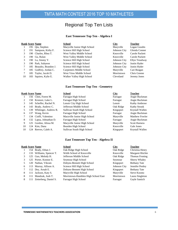## Regional Top Ten Lists

#### **East Tennessee Top Ten - Algebra I**

<span id="page-7-0"></span>

|    | <b>Rank Score Name</b>  | School                       | <b>City</b>  | <b>Teacher</b> |
|----|-------------------------|------------------------------|--------------|----------------|
|    | 195 Qiu, Stephen        | Maryville Junior High School | Maryville    | Logan Goodin   |
|    | 191 Sampson, Kirby F.   | Science Hill High School     | Johnson City | Glenda Conner  |
| 3  | 190 Charles, Rhea T.    | West Valley Middle School    | Knoxville    | Carole Packett |
| 3  | 190 Gu. Rulan           | West Valley Middle School    | Knoxville    | Carole Packett |
| 3  | 190 Lu, Jimmy Y.        | Science Hill High School     | Johnson City | Ellyn Treadway |
| 3  | 190 Park, Suhyeon       | Science Hill High School     | Johnson City | Justin Hyder   |
|    | 185 Beaudry, Brandon J. | Science Hill High School     | Johnson City | Justin Hyder   |
|    | 185 Godfrey, Jordan C.  | Carpenters Middle School     | Maryville    | Cari Reagan    |
|    | 185 Taylor, Jacob D.    | West View Middle School      | Morristown   | Chris Greene   |
| 10 | 183 Squires, Kylie E.   | Walker Valley High School    | Cleveland    | Jeremy Jones   |

#### **East Tennessee Top Ten - Geometry**

|    |      | <b>Rank Score Name</b>  | <b>School</b>                | City      | <b>Teacher</b>       |
|----|------|-------------------------|------------------------------|-----------|----------------------|
|    |      | 156 Chen, Forest M.     | <b>Farragut High School</b>  | Farragut  | Angie Buckman        |
| 2  |      | 150 Kronzer, Luke L.    | <b>Farragut High School</b>  | Farragut  | Angie Buckman        |
| 3  |      | 145 Scheffer, Rachel N. | Lenoir City High School      | Lenoir    | Kathy Ambrose        |
| 4  |      | 143 Brady, Andrew C.    | Jefferson Middle School      | Oak Ridge | Kathy Strunk         |
| 5  | 139. | Whitinger, Andrew R.    | Sullivan South High School   | Kingsport | Krystall Wallen      |
| 6  | 137  | Wang, Kevin             | <b>Farragut High School</b>  | Farragut  | Angie Buckman        |
|    |      | 134 Cioffi, Valentino   | Maryville Junior High School | Maryville | Matthew Fowler       |
| 8  |      | 132 Lapsa, Johnathan D. | <b>Farragut High School</b>  | Farragut  | Angie Buckman        |
| 9  |      | 125 Gordon, Alissa M.   | Maryville Junior High School | Maryville | <b>Scott Harness</b> |
| 10 |      | 124 Kim. Dana           | Bearden High School          | Knoxville | Gale Jones           |
| 10 |      | 124 Reeves, Caleb A.    | Sullivan South High School   | Kingsport | Krystall Wallen      |

#### **East Tennessee Top Ten - Algebra II**

|   |     | <b>Rank Score Name</b>   | <b>School</b>                       | <b>City</b>  | <b>Teacher</b>       |
|---|-----|--------------------------|-------------------------------------|--------------|----------------------|
|   |     | 154 Brady, Ethan J.      | Oak Ridge High School               | Oak Ridge    | Christina Henry      |
| 2 |     | 133 Williams, Spencer T. | Webb School of Knoxville            | Knoxville    | Margaret Ritchie     |
| 3 |     | 125 Guo, Melody H.       | Jefferson Middle School             | Oak Ridge    | Thomas Froning       |
| 3 |     | 125 Porter, Konnor E.    | Seymour High School                 | Seymour      | <b>Sherry Whaley</b> |
| 5 |     | 120 Nathan, Vikram       | Dobyns-Bennett High School          | Kingsport    | <b>Bethany Tate</b>  |
| 6 |     | 113 Murray, Allison A.   | Science Hill High School            | Johnson City | Jennifer Penley      |
|   |     | 112 Dey, Arnab E.        | Dobyns-Bennett High School          | Kingsport    | <b>Bethany Tate</b>  |
| 8 |     | 111 Jackson, Katy S.     | Maryville High School               | Maryville    | Steve Koontz         |
| 8 | 111 | Mandzak, Josh T.         | Morristown-Hamblen High School East | Morristown   | Laura Singleton      |
| 8 | 111 | Zetterberg, Daniel S.    | Farragut High School                | Farragut     | Gayle Santich        |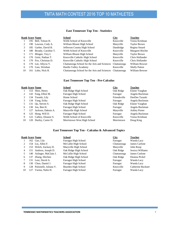#### **East Tennessee Top Ten - Statistics**

|    | <b>Rank Score Name</b>  | School                                                   | City        | <b>Teacher</b>       |
|----|-------------------------|----------------------------------------------------------|-------------|----------------------|
|    | 195 Bell, Tolson H.     | Webb School of Knoxville                                 | Knoxville   | Veena Krishnan       |
| 2  | 190 Lawson, Cody A.     | William Blount High School                               | Maryville   | <b>Taylor Brown</b>  |
| 3  | 185 Garber, David B.    | Jefferson County High School                             | Dandridge   | Regina Sinard        |
| 4  | 180 Broady, Caroline T. | Webb School of Knoxville                                 | Knoxville   | Margaret Ritchie     |
| 5  | 171 Mingee, Trey I.     | William Blount High School                               | Maryville   | Taylor Brown         |
| 6  | 170 Geist, Nathan T.    | Knoxville Catholic High School                           | Knoxville   | Chris Hollander      |
| 6  | 170 Fox, Christian D.   | Knoxville Catholic High School                           | Knoxville   | Chris Hollander      |
| 6  | 170 Lee, Allycia Y.     | Chattanooga School for the Arts and Sciences             | Chattanooga | William Bowser       |
| 6  | 170 Liao, Weishan       | Hardin Valley Academy                                    | Knoxville   | <b>Shelly Patton</b> |
| 10 | 161 Lobo, Nick R.       | Chattanooga School for the Arts and Sciences Chattanooga |             | William Bowser       |

#### **East Tennessee Top Ten - Pre-Calculus**

|    | <b>Rank Score Name</b> | <b>School</b>               | City         | <b>Teacher</b>       |
|----|------------------------|-----------------------------|--------------|----------------------|
|    | 153 Shen, Henry        | Oak Ridge High School       | Oak Ridge    | Elaine Vaughan       |
| 2  | 143 Fang, Elliot M.    | <b>Farragut High School</b> | Farragut     | Angela Buckman       |
| 3  | 134 Turaski, Lily      | Home School                 | Friendsville | DeeDee Turaski       |
|    | 134 Yang, Erika        | Farragut High School        | Farragut     | Angela Buckman       |
|    | 131 Ou, Steven S.      | Oak Ridge High School       | Oak Ridge    | Elaine Vaughan       |
| 6  | 130 Joo, Ben H.        | Farragut High School        | Farragut     | Angela Buckman       |
|    | 127 Jackson, Dakota A. | Maryville High School       | Maryville    | <b>Ashley Porter</b> |
| 8  | 125 Hong, Will D.      | <b>Farragut High School</b> | Farragut     | Angela Buckman       |
| 9  | 122 Cathey, Eleanor S. | Webb School of Knoxville    | Knoxville    | Veena Krishnan       |
| 10 | 120 Durfey, Carter D.  | Morristown West High School | Morristown   | Doug King            |

#### **East Tennessee Top Ten - Calculus & Advanced Topics**

#### **Rank Score Name School City Teacher** 162 Gao, Lily Farragut High School Farragut Wanda Lacy 154 Liu, Allen F. McCallie High School Chattanooga James Carlone 153 Welch, Zackary D. Maryville High School Maryville John Roop 151 Andress, Joseph D. Oak Ridge High School Oak Ridge Jessica Williams 140 Aslinger, MaClain J. McCallie High School Chattanooga James Carlone 137 Zhang, Shichen Oak Ridge High School Oak Ridge Deanna Pickel 131 Leui, David A. Farragut High School Farragut Wanda Lacy 8 130 Choo, Daniel J. Farragut High School Farragut Farragut Wanda Lacy 128 Pulsinelli, Juliana V. Bearden High School Knoxville Catherine Buckner 127 Varma, Nalin H. Farragut High School Farragut Wanda Lacy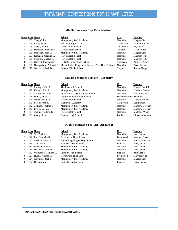#### **Middle Tennessee Top Ten - Algebra I**

|    | <b>Rank Score Name</b>      | School                                              | <b>City</b> | <b>Teacher</b> |
|----|-----------------------------|-----------------------------------------------------|-------------|----------------|
|    | 200 Tang, Colin             | Montgomery Bell Academy                             | Nashville   | Maggie Qian    |
| 2  | 196 Kang, Kichul            | Rossview High School                                | Clarksville | Jeannie Bowman |
| 3  | 195 Arnett, Will A.         | West Middle School                                  | Tullahoma   | Faye Neel      |
| 3  | 195 Dennison, Nicholas R.   | Gallatin High School                                | Gallatin    | Jason Vivier   |
|    | 186 Meacham, Sam E.         | Montgomery Bell Academy                             | Nashville   | Maggie Oian    |
| 6  | 183 Ramaian, Meghna C.      | Harpeth Hall School                                 | Nashville   | Maureen Hill   |
|    | 181 Sullivan, Maggie C.     | Harpeth Hall School                                 | Nashville   | Maureen Hill   |
| 8  | 180 Cantrell, Madison E.    | De Kalb County High School                          | Smithville  | Andrew Dixon   |
| 8  | 180 Nayagadurai, Ashwath S. | Martin Luther King Junior Magnet-Pearl High Schoool | Nashville   | Deede Melder   |
| 10 | 176 Weaver, Aliyah D.       | Smyrna Middle School                                | Smyrna      | Ronald Napper  |

#### **Middle Tennessee Top Ten - Geometry**

|    | <b>Rank Score Name</b>  | School                         | <b>City</b>              | <b>Teacher</b>         |
|----|-------------------------|--------------------------------|--------------------------|------------------------|
|    | 186 Murray, Colin A.    | The Ensworth School            | Nashville                | <b>Edward Caudill</b>  |
|    | 177 Kalams, Alex M.     | Montgomery Bell Academy        | Nashville                | <b>Matthew Golenor</b> |
| 3  | 147 Coburn, Ethan W.    | Lipscomb Academy Middle School | Nashville                | Stefine House          |
| 4  | 146 Dilick, Ian M.      | Pope John Paul II High School  | Hendersonville Al Knight |                        |
|    | 144 Misra, Mohini K.    | Harpeth Hall School            | Nashville                | Madeline Waud          |
| 6  | 142 Lee, Tabitha S.     | Clarksville Academy            | Clarksville              | Dan Burden             |
| 6  | 142 Zeuthen, Thomas V.  | Montgomery Bell Academy        | Nashville                | Matthew Golenor        |
| 8  | 141 Brown, Zach E.      | Montgomery Bell Academy        | Nashville                | <b>Matthew Golenor</b> |
| 9  | 135 Jenkins, Kathryn C. | Harpeth Hall School            | Nashville                | Madeline Waud          |
| 10 | 129 Zhang, Siyuan       | Portland High School           | Portland                 | Ginger Lesemann        |

#### **Middle Tennessee Top Ten - Algebra II**

|   |     | <b>Rank Score Name</b>   | <b>School</b>                | City             | <b>Teacher</b>      |
|---|-----|--------------------------|------------------------------|------------------|---------------------|
|   |     | 157 Sai, Baylor X.       | Montgomery Bell Academy      | Nashville        | John Lanier         |
| 2 |     | 142 Liu, Gabrielle K.    | Ravenwood High School        | <b>Brentwood</b> | Jonathan Owens      |
| 3 |     | 140 Mikhail, Moussa      | Hume-Fogg Magnet High School | Nashville        | Kat Ovchinnikov     |
| 4 |     | 139 Tian, Frank          | <b>Battle Ground Academy</b> | Franklin         | <b>Harry Justus</b> |
|   |     | 137 Peterson, Nikhil J.  | Montgomery Bell Academy      | Nashville        | John Lanier         |
| 6 |     | 134 DeCoster, Samuel L.  | Montgomery Bell Academy      | Nashville        | John Lanier         |
|   |     | 132 Whitehead, Camden C. | Franklin High School         | Franklin         | Patti Castle        |
| 8 | 127 | Huang, Andrea M.         | Ravenwood High School        | <b>Brentwood</b> | Mary Hawken         |
| 9 |     | 124 Garfinkel, Zach S.   | Montgomery Bell Academy      | Nashville        | Maggie Qian         |
| 9 |     | 124 Hu, Andrew           | <b>Battle Ground Academy</b> | Franklin         | <b>Harry Justus</b> |
|   |     |                          |                              |                  |                     |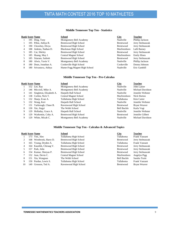#### **Middle Tennessee Top Ten - Statistics**

|   | <b>Rank Score Name</b> |                        | School                       | <b>City</b>      | <b>Teacher</b>     |
|---|------------------------|------------------------|------------------------------|------------------|--------------------|
|   |                        | 195 Ding, Tony         | Montgomery Bell Academy      | Nashville        | Phillip Jackson    |
|   |                        | 195 Pillai, Aditya R.  | Brentwood High School        | <b>Brentwood</b> | Jerry Stelmaszak   |
| 3 |                        | 190 Chowbey, Divya     | Brentwood High School        | Brentwood        | Jerry Stelmaszak   |
| 4 |                        | 188 Jenkins, Nathan D. | Blackman High School         | Murfreesboro     | Lalli Barney       |
|   |                        | 185 Cai, Shirley       | Brentwood High School        | <b>Brentwood</b> | Jerry Stelmaszak   |
|   |                        | 185 Huang, May J.      | Central Magnet School        | Murfreesboro     | <b>Emily Hines</b> |
|   |                        | 185 Sitaram, Sailesh   | Brentwood High School        | Brentwood        | Jerry Stelmaszak   |
| 8 |                        | 180 Alwis, Yavin V.    | Montgomery Bell Academy      | Nashville        | Phillip Jackson    |
| 8 |                        | 180 Dean. Jonathan A.  | Cookeville High School       | Cookeville       | Donna Johnson      |
| 8 |                        | 180 Srivastava, Aditya | Hume-Fogg Magnet High School | Naahville        | Eric Gambill       |

#### **Middle Tennessee Top Ten - Pre-Calculus**

|    |      | <b>Rank Score Name</b>      | <b>School</b>                | <b>City</b>        | <b>Teacher</b>   |
|----|------|-----------------------------|------------------------------|--------------------|------------------|
|    |      | 152 Lee, Ray                | Montgomery Bell Academy      | <b>Nashville</b>   | John Lanier      |
|    |      | 146 Miccioli, Mike A.       | Montgomery Bell Academy      | <b>Nashville</b>   | Michael Davidson |
| 3  |      | 141 Singleton, Elizabeth A. | Harpeth Hall School          | Nashville          | Jennifer Webster |
| 4  |      | 138 Corbin, Nick T.         | <b>Central Magnet School</b> | Murfreesboro       | Nick Horton      |
| 5. |      | 132 Sharp, Evan A.          | Tullahoma High School        | Tullahoma          | Kim Carter       |
| 5. |      | 132 Wang, Keri              | Harpeth Hall School          | <b>Nashville</b>   | Jennifer Webster |
|    |      | 131 Yarbrough, Chase B.     | Ravenwood High School        | <b>Brentwood</b>   | Bryan Weaver     |
| 8  |      | 130 Xie, Jingyi             | The Webb School              | <b>Bell Buckle</b> | Karla Vogt       |
| 9  |      | 129 Holladay, Grace A.      | Harpeth Hall School          | Nashville          | Jennifer Webster |
| 9  |      | 129 Warkentin, Coby A.      | Brentwood High School        | <b>Brentwood</b>   | Jennifer Gilbert |
| 9  | 129. | White, Micah C.             | Montgomery Bell Academy      | <b>Nashville</b>   | Michael Davidson |

#### **Middle Tennessee Top Ten - Calculus & Advanced Topics**

|    | <b>Rank Score Name</b>  | School                       | <b>City</b>        | <b>Teacher</b>   |
|----|-------------------------|------------------------------|--------------------|------------------|
|    | 173 Yen, Alec           | Tullahoma High School        | Tullahoma          | Frank Vanzant    |
|    | 168 Westbrook, Harry D. | Brentwood High School        | <b>Brentwood</b>   | Jerry Stelmaszak |
| 3  | 165 Young, Dryden A.    | Tullahoma High School        | Tullahoma          | Frank Vanzant    |
| 4  | 164 Kaushik, Chiraag V. | Brentwood High School        | <b>Brentwood</b>   | Jerry Stelmaszak |
|    | 157 Park, John          | Brentwood High School        | <b>Brentwood</b>   | Jerry Stelmaszak |
| 6  | 154 Kumar, Shreyas P.   | Brentwood High School        | Brentwood          | Jerry Stelmaszak |
|    | 152 Jean, Devin C.      | <b>Central Magnet School</b> | Murfreesboro       | Angelyn Pigg     |
| 8  | 151 Xia, Wangsun        | The Webb School              | <b>Bell Buckle</b> | Sandra Truitt    |
| 9  | 150 Purdue, Lewis S.    | Tullahoma High School        | Tullahoma          | Frank Vanzant    |
| 10 | 149 Grosson. Ted A.     | Ravenwood High School        | <b>Brentwood</b>   | Bryan Weaver     |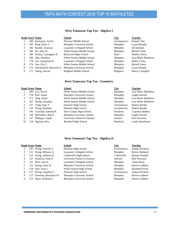#### **West Tennessee Top Ten - Algebra I**

| <b>Rank Score Name</b><br><b>School</b>                          | <b>City</b>     | <b>Teacher</b>         |
|------------------------------------------------------------------|-----------------|------------------------|
| 200 Kuriyama, Taichi<br><b>Houston Middle School</b>             | Germantown      | Pamela Tate            |
| Memphis University School<br>185 Peng, Ryan Z.<br>2              | Memphis         | Loyal Murphy           |
| Lausanne Collegiate School<br>185 Rajesh, Ananyaa                | <b>Memphis</b>  | Jill Damplo            |
| White Station Middle School<br>180 Du, Jake W.<br>4              | Memphis         | <b>Bernell Jones</b>   |
| 180 Kelsey, Carrington R.<br><b>Briarcrest High School</b><br>4  | Eads            | <b>Heather Davis</b>   |
| <b>White Station Middle School</b><br>Zhu, Zhaohan<br>4<br>180.  | Memphis         | Lisa-Marie Matthews    |
| 178 Lee, Jacqueline K.<br>Lausanne Collegiate School             | Memphis         | <b>Robin Trusty</b>    |
| 176 Sun, Eric C.<br><b>White Station Middle School</b><br>8      | Memphis         | <b>Bernell Jones</b>   |
| Shackelford, Maxwell A.<br>Memphis University School<br>9<br>175 | Memphis         | Loyal Murphy           |
| Brighton Middle School<br>9<br>Zheng, Steven<br>175.             | <b>Brighton</b> | <b>Sherry Campbell</b> |

#### **West Tennessee Top Ten - Geometry**

|    |      | <b>Rank Score Name</b>     | <b>School</b>                      | <b>City</b> | <b>Teacher</b>      |
|----|------|----------------------------|------------------------------------|-------------|---------------------|
|    |      | 200 Luo, Kevin             | <b>White Station Middle School</b> | Memphis     | Lisa-Marie Matthews |
| 2  |      | 178 Puri, Arjun            | Memphis University School          | Memphis     | Leigh Packard       |
| 3  | 171  | Ding, Sarah                | <b>White Station Middle School</b> | Memphis     | Lisa-Marie Matthews |
| 4  |      | 167 Zhang, Jonathan        | <b>White Station Middle School</b> | Memphis     | Lisa-Marie Matthews |
| 5  |      | 157 Yang, Sean T.          | Houston High School                | Germantown  | Sharon Reeder       |
| 6  |      | 155 Wang, Matthew          | Houston High School                | Germantown  | Sharon Reeder       |
|    |      | 146 Trasolini, Isabella R. | Dyer County High School            | Newbern     | Courtney Babbitt    |
| 8  | 139. | McFadden, Rob E.           | Memphis University School          | Memphis     | Leigh Packard       |
| 9  | 137  | Mahajan, Anjali            | University School of Jackson       | Jackson     | Don Newman          |
| 10 |      | 134 Nguyen, Kira           | Munford High School                | Munford     | Linda Danehower     |

#### **West Tennessee Top Ten - Algebra II**

|   |      | <b>Rank Score Name</b>   | <b>School</b>                | <b>City</b>  | <b>Teacher</b>  |
|---|------|--------------------------|------------------------------|--------------|-----------------|
|   |      | 142 Wang, Vincent C.     | Houston High School          | Germantown   | Jeanna Kitchens |
| 2 | 135  | Wang, Milanca X.         | Lausanne Collegiate School   | Memphis      | Steven Hubbard  |
| 3 | 123. | Wang, Jefferon H.        | Collierville High School     | Collierville | Pamela Kendall  |
| 4 |      | 122 Stanford, John R.    | University School of Jackson | Jackson      | Don Newman      |
|   | 121  | Hori, Sam A.             | Lausanne Collegiate School   | Memphis      | Chase Kearl     |
|   |      | 121 Wang, Jason H.       | Memphis University School    | Memphis      | Steven Gadbois  |
|   |      | 118 Xue, Amy L.          | White Station High School    | Memphis      | Elizabeth Kirby |
| 8 | 117  | Wang, Jonathan C.        | Houston High School          | Germantown   | Jeanna Kitchens |
| 9 |      | 115 Freeman, Benjamin W. | Memphis University School    | Memphis      | Steven Gadbois  |
| 9 |      | 115 Hurst, William E.    | Memphis University School    | Memphis      | Steven Gadbois  |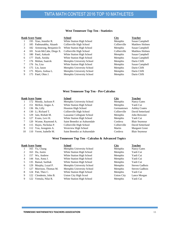#### **West Tennessee Top Ten - Statistics**

|   |     | <b>Rank Score Name</b>     | <b>School</b>             | <b>City</b>  | <b>Teacher</b> |
|---|-----|----------------------------|---------------------------|--------------|----------------|
|   |     | 195 Xiao, Jennifer R.      | White Station High School | Memphis      | Susan Campbell |
| 2 |     | 185 Padmanabha, Akaash     | Collierville High School  | Collierville | Matthew Holmes |
| 3 |     | 182 Armstrong, Benjamin D. | White Station High School | Memphis      | Susan Campbell |
| 4 |     | 181 Scott-McCabe, Diego X. | Collierville High School  | Collierville | Matthew Holmes |
| 5 |     | 180 Patel, Ankush          | White Station High School | Memphis      | Susan Campbell |
| 6 | 177 | Dash. Anisha               | White Station High School | Memphis      | Susan Campbell |
|   |     | 176 Mohan, Saatvik         | Memphis University School | Memphis      | Darin Clifft   |
|   |     | 176 Su. Lisa               | White Station High School | Memphis      | Susan Campbell |
| 9 |     | 175 Lin. Jason             | Memphis University School | Memphis      | Darin Clifft   |
| 9 |     | 175 Myers, Joshua L.       | Memphis University School | Memphis      | Darin Clifft   |
| 9 |     | 175 Patel, Ohm J.          | Memphis University School | Memphis      | Darin Clifft   |

#### **West Tennessee Top Ten - Pre-Calculus**

|    |      | <b>Rank Score Name</b> | <b>School</b>                | City         | <b>Teacher</b>       |
|----|------|------------------------|------------------------------|--------------|----------------------|
|    |      | 172 Moody, Jackson P.  | Memphis University School    | Memphis      | Nancy Gates          |
| 2  |      | 151 McKee, Angus A.    | White Station High School    | Memphis      | Yanli Cui            |
| 3  |      | 136 He, Lilly          | Houston High School          | Germantown   | <b>Ashley Coates</b> |
| 4  |      | 130 Li, Richard T.     | Collierville High School     | Collierville | David Setterlund     |
|    | 129. | Jain, Rishab M.        | Lausanne Collegiate School   | Memphis      | John Brewster        |
| 6  |      | 127 Evans, Levi H.     | White Station High School    | Memphis      | Yanli Cui            |
|    |      | 120 Wynne, Raymond A.  | Saint Benedict at Auburndale | Cordova      | <b>Blair Seymour</b> |
| 8  |      | 115 Hayes, Nicholas P. | Collierville High School     | Collierville | David Setterlund     |
| 9  |      | 112 You, Jeongmin A.   | Westview High School         | Martin       | Margaret Greer       |
| 10 | 110  | Verret, Isabelle M.    | Saint Benedict at Auburndale | Cordova      | <b>Blair Seymour</b> |

#### **West Tennessee Top Ten - Calculus & Advanced Topics**

|   |     | <b>Rank Score Name</b> | <b>School</b>             | City              | <b>Teacher</b> |
|---|-----|------------------------|---------------------------|-------------------|----------------|
|   |     | 165 Yu, Chang          | Memphis University School | Memphis           | Nancy Gates    |
| 2 | 163 | Du, Justin             | White Station High School | Memphis           | Yanli Cui      |
| 3 | 157 | Wu, Andrew             | White Station High School | Memphis           | Yanli Cui      |
| 4 |     | 144 Sun, Anna J.       | White Station High School | Memphis           | Yanli Cui      |
| 5 |     | 135 Bansal, Sarthak    | White Station High School | Memphis           | Yanli Cui      |
| 6 |     | 129 Murphy, Loyal P.   | Memphis University School | Memphis           | Steven Gadbois |
|   |     | Morrison, Thomas M.    | Memphis University School | Memphis           | Steven Gadbois |
| 8 |     | 124 Patt, Theo C.      | White Station High School | Memphis           | Yanli Cui      |
| 9 |     | 122 Clendenin, John B. | Union City High Scool     | <b>Union City</b> | Lance Morgan   |
| 9 | 122 | Vemula, Nilai R.       | White Station High School | Memphis           | Yanli Cui      |
|   |     |                        |                           |                   |                |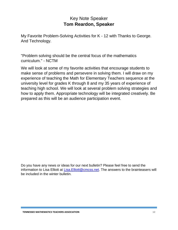### Key Note Speaker **Tom Reardon, Speaker**

<span id="page-13-0"></span>My Favorite Problem-Solving Activities for K - 12 with Thanks to George. And Technology.

"Problem solving should be the central focus of the mathematics curriculum." - NCTM

We will look at some of my favorite activities that encourage students to make sense of problems and persevere in solving them. I will draw on my experience of teaching the Math for Elementary Teachers sequence at the university level for grades K through 8 and my 35 years of experience of teaching high school. We will look at several problem solving strategies and how to apply them. Appropriate technology will be integrated creatively. Be prepared as this will be an audience participation event.

Do you have any news or ideas for our next bulletin? Please feel free to send the information to Lisa Elliott at Lisa. Elliott@cmcss.net. The answers to the brainteasers will be included in the winter bulletin.